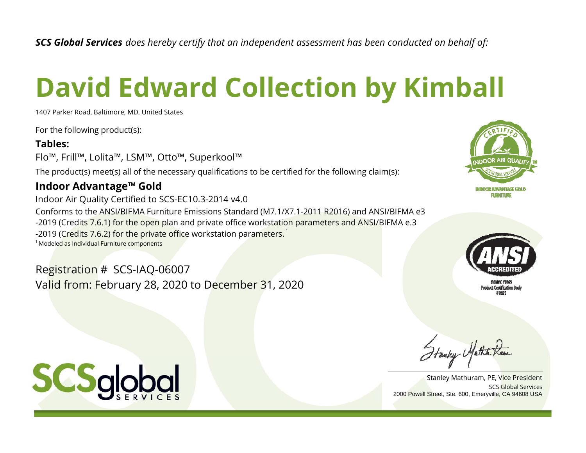*SCS Global Services does hereby certify that an independent assessment has been conducted on behalf of:*

# **David Edward Collection by Kimball**

1407 Parker Road, Baltimore, MD, United States

For the following product(s):

### **Tables:**

Flo™, Frill™, Lolita™, LSM™, Otto™, Superkool™

The product(s) meet(s) all of the necessary qualifications to be certified for the following claim(s):

## **Indoor Advantage™ Gold**

Indoor Air Quality Certified to SCS-EC10.3-2014 v4.0 Conforms to the ANSI/BIFMA Furniture Emissions Standard (M7.1/X7.1-2011 R2016) and ANSI/BIFMA e3 -2019 (Credits 7.6.1) for the open plan and private office workstation parameters and ANSI/BIFMA e.3 -2019 (Credits 7.6.2) for the private office workstation parameters.<sup>1</sup>  $^\text{1}$ Modeled as Individual Furniture components

Registration # SCS-IAQ-06007 Valid from: February 28, 2020 to December 31, 2020





Hanky Mather Kam

SCS Global ServicesStanley Mathuram, PE, Vice President 2000 Powell Street, Ste. 600, Emeryville, CA 94608 USA